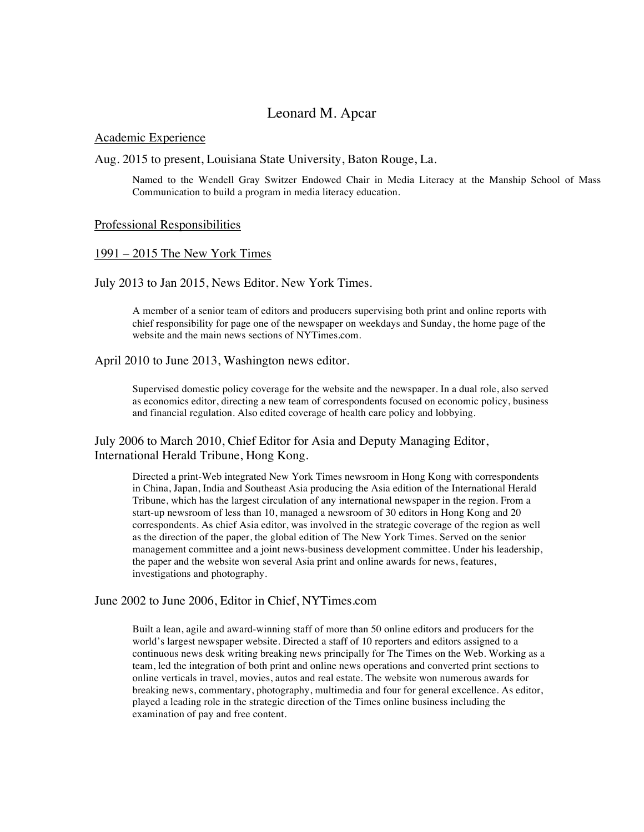# Leonard M. Apcar

### Academic Experience

### Aug. 2015 to present, Louisiana State University, Baton Rouge, La.

Named to the Wendell Gray Switzer Endowed Chair in Media Literacy at the Manship School of Mass Communication to build a program in media literacy education.

#### Professional Responsibilities

#### 1991 – 2015 The New York Times

### July 2013 to Jan 2015, News Editor. New York Times.

A member of a senior team of editors and producers supervising both print and online reports with chief responsibility for page one of the newspaper on weekdays and Sunday, the home page of the website and the main news sections of NYTimes.com.

#### April 2010 to June 2013, Washington news editor.

Supervised domestic policy coverage for the website and the newspaper. In a dual role, also served as economics editor, directing a new team of correspondents focused on economic policy, business and financial regulation. Also edited coverage of health care policy and lobbying.

## July 2006 to March 2010, Chief Editor for Asia and Deputy Managing Editor, International Herald Tribune, Hong Kong.

Directed a print-Web integrated New York Times newsroom in Hong Kong with correspondents in China, Japan, India and Southeast Asia producing the Asia edition of the International Herald Tribune, which has the largest circulation of any international newspaper in the region. From a start-up newsroom of less than 10, managed a newsroom of 30 editors in Hong Kong and 20 correspondents. As chief Asia editor, was involved in the strategic coverage of the region as well as the direction of the paper, the global edition of The New York Times. Served on the senior management committee and a joint news-business development committee. Under his leadership, the paper and the website won several Asia print and online awards for news, features, investigations and photography.

#### June 2002 to June 2006, Editor in Chief, NYTimes.com

Built a lean, agile and award-winning staff of more than 50 online editors and producers for the world's largest newspaper website. Directed a staff of 10 reporters and editors assigned to a continuous news desk writing breaking news principally for The Times on the Web. Working as a team, led the integration of both print and online news operations and converted print sections to online verticals in travel, movies, autos and real estate. The website won numerous awards for breaking news, commentary, photography, multimedia and four for general excellence. As editor, played a leading role in the strategic direction of the Times online business including the examination of pay and free content.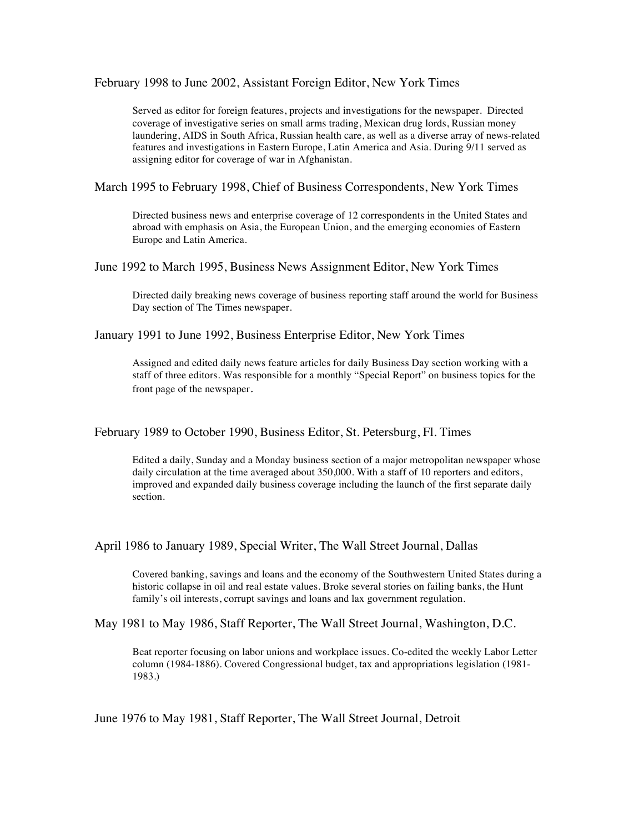February 1998 to June 2002, Assistant Foreign Editor, New York Times

Served as editor for foreign features, projects and investigations for the newspaper. Directed coverage of investigative series on small arms trading, Mexican drug lords, Russian money laundering, AIDS in South Africa, Russian health care, as well as a diverse array of news-related features and investigations in Eastern Europe, Latin America and Asia. During 9/11 served as assigning editor for coverage of war in Afghanistan.

March 1995 to February 1998, Chief of Business Correspondents, New York Times

Directed business news and enterprise coverage of 12 correspondents in the United States and abroad with emphasis on Asia, the European Union, and the emerging economies of Eastern Europe and Latin America.

June 1992 to March 1995, Business News Assignment Editor, New York Times

Directed daily breaking news coverage of business reporting staff around the world for Business Day section of The Times newspaper.

January 1991 to June 1992, Business Enterprise Editor, New York Times

Assigned and edited daily news feature articles for daily Business Day section working with a staff of three editors. Was responsible for a monthly "Special Report" on business topics for the front page of the newspaper.

February 1989 to October 1990, Business Editor, St. Petersburg, Fl. Times

Edited a daily, Sunday and a Monday business section of a major metropolitan newspaper whose daily circulation at the time averaged about 350,000. With a staff of 10 reporters and editors, improved and expanded daily business coverage including the launch of the first separate daily section.

April 1986 to January 1989, Special Writer, The Wall Street Journal, Dallas

Covered banking, savings and loans and the economy of the Southwestern United States during a historic collapse in oil and real estate values. Broke several stories on failing banks, the Hunt family's oil interests, corrupt savings and loans and lax government regulation.

May 1981 to May 1986, Staff Reporter, The Wall Street Journal, Washington, D.C.

Beat reporter focusing on labor unions and workplace issues. Co-edited the weekly Labor Letter column (1984-1886). Covered Congressional budget, tax and appropriations legislation (1981- 1983.)

June 1976 to May 1981, Staff Reporter, The Wall Street Journal, Detroit